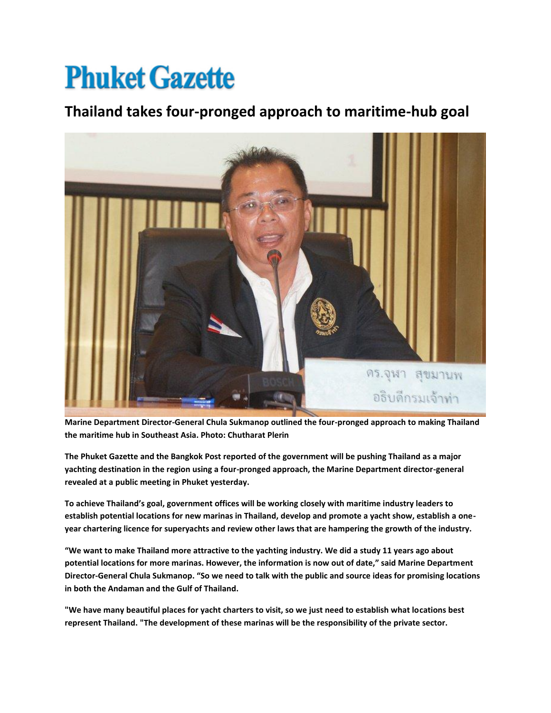## **Phuket Gazette**

## **Thailand takes four-pronged approach to maritime-hub goal**



**Marine Department Director-General Chula Sukmanop outlined the four-pronged approach to making Thailand the maritime hub in Southeast Asia. Photo: Chutharat Plerin** 

**The Phuket Gazette and the Bangkok Post reported of the government will be pushing Thailand as a major yachting destination in the region using a four-pronged approach, the Marine Department director-general revealed at a public meeting in Phuket yesterday.**

**To achieve Thailand's goal, government offices will be working closely with maritime industry leaders to establish potential locations for new marinas in Thailand, develop and promote a yacht show, establish a oneyear chartering licence for superyachts and review other laws that are hampering the growth of the industry.**

**"We want to make Thailand more attractive to the yachting industry. We did a study 11 years ago about potential locations for more marinas. However, the information is now out of date," said Marine Department Director-General Chula Sukmanop. "So we need to talk with the public and source ideas for promising locations in both the Andaman and the Gulf of Thailand.**

**"We have many beautiful places for yacht charters to visit, so we just need to establish what locations best represent Thailand. "The development of these marinas will be the responsibility of the private sector.**